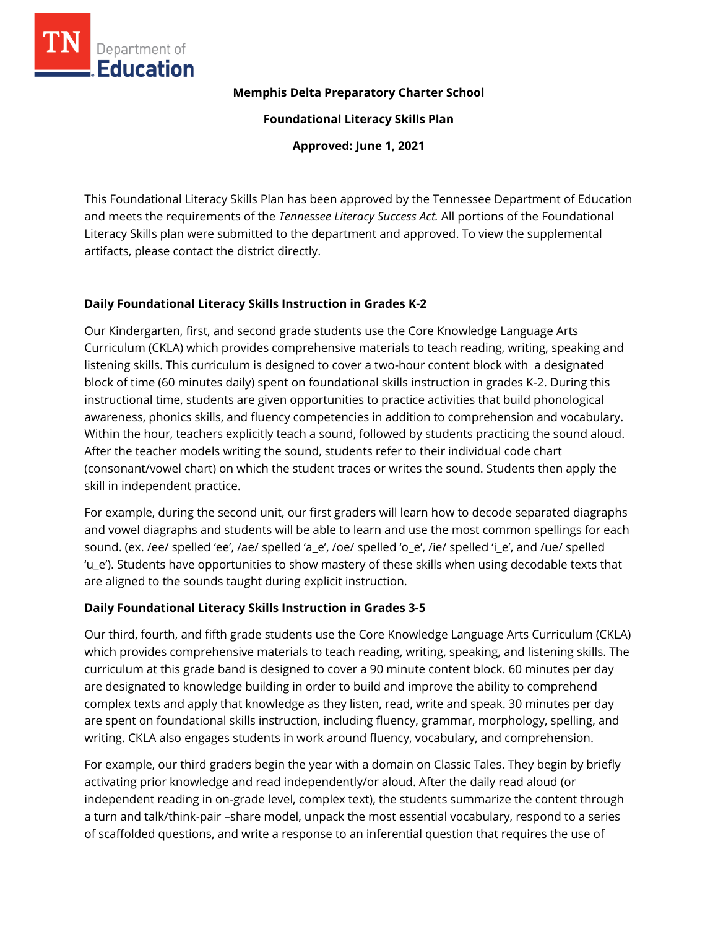

#### **Memphis Delta Preparatory Charter School**

**Foundational Literacy Skills Plan**

**Approved: June 1, 2021**

This Foundational Literacy Skills Plan has been approved by the Tennessee Department of Education and meets the requirements of the *Tennessee Literacy Success Act.* All portions of the Foundational Literacy Skills plan were submitted to the department and approved. To view the supplemental artifacts, please contact the district directly.

### **Daily Foundational Literacy Skills Instruction in Grades K-2**

Our Kindergarten, first, and second grade students use the Core Knowledge Language Arts Curriculum (CKLA) which provides comprehensive materials to teach reading, writing, speaking and listening skills. This curriculum is designed to cover a two-hour content block with a designated block of time (60 minutes daily) spent on foundational skills instruction in grades K-2. During this instructional time, students are given opportunities to practice activities that build phonological awareness, phonics skills, and fluency competencies in addition to comprehension and vocabulary. Within the hour, teachers explicitly teach a sound, followed by students practicing the sound aloud. After the teacher models writing the sound, students refer to their individual code chart (consonant/vowel chart) on which the student traces or writes the sound. Students then apply the skill in independent practice.

For example, during the second unit, our first graders will learn how to decode separated diagraphs and vowel diagraphs and students will be able to learn and use the most common spellings for each sound. (ex. /ee/ spelled 'ee', /ae/ spelled 'a\_e', /oe/ spelled 'o\_e', /ie/ spelled 'i\_e', and /ue/ spelled 'u\_e'). Students have opportunities to show mastery of these skills when using decodable texts that are aligned to the sounds taught during explicit instruction.

### **Daily Foundational Literacy Skills Instruction in Grades 3-5**

Our third, fourth, and fifth grade students use the Core Knowledge Language Arts Curriculum (CKLA) which provides comprehensive materials to teach reading, writing, speaking, and listening skills. The curriculum at this grade band is designed to cover a 90 minute content block. 60 minutes per day are designated to knowledge building in order to build and improve the ability to comprehend complex texts and apply that knowledge as they listen, read, write and speak. 30 minutes per day are spent on foundational skills instruction, including fluency, grammar, morphology, spelling, and writing. CKLA also engages students in work around fluency, vocabulary, and comprehension.

For example, our third graders begin the year with a domain on Classic Tales. They begin by briefly activating prior knowledge and read independently/or aloud. After the daily read aloud (or independent reading in on-grade level, complex text), the students summarize the content through a turn and talk/think-pair –share model, unpack the most essential vocabulary, respond to a series of scaffolded questions, and write a response to an inferential question that requires the use of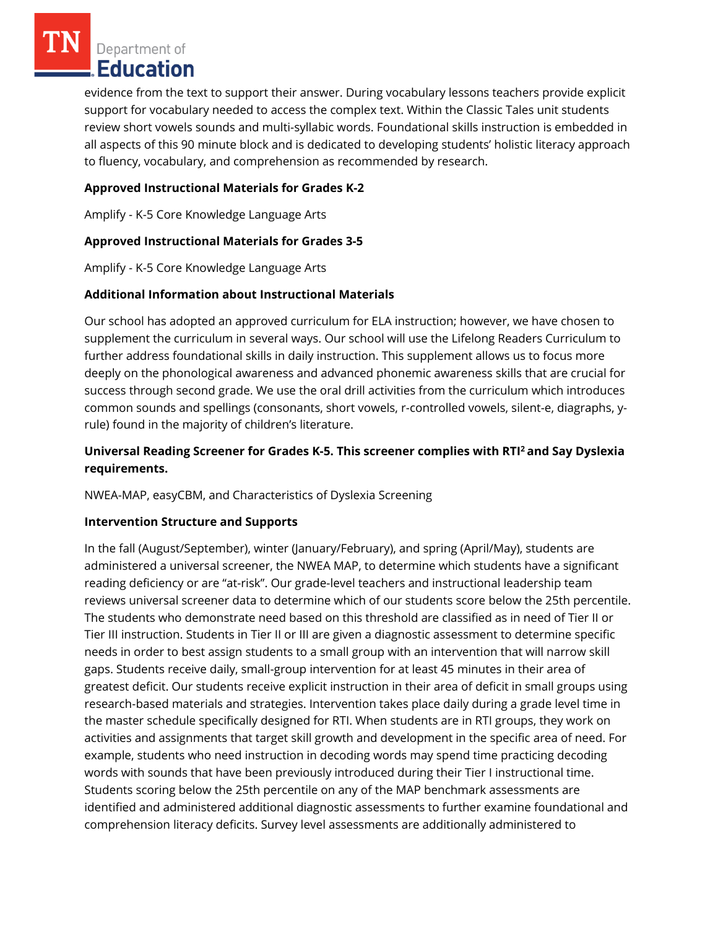Department of **Education** 

evidence from the text to support their answer. During vocabulary lessons teachers provide explicit support for vocabulary needed to access the complex text. Within the Classic Tales unit students review short vowels sounds and multi-syllabic words. Foundational skills instruction is embedded in all aspects of this 90 minute block and is dedicated to developing students' holistic literacy approach to fluency, vocabulary, and comprehension as recommended by research.

## **Approved Instructional Materials for Grades K-2**

Amplify - K-5 Core Knowledge Language Arts

## **Approved Instructional Materials for Grades 3-5**

Amplify - K-5 Core Knowledge Language Arts

## **Additional Information about Instructional Materials**

Our school has adopted an approved curriculum for ELA instruction; however, we have chosen to supplement the curriculum in several ways. Our school will use the Lifelong Readers Curriculum to further address foundational skills in daily instruction. This supplement allows us to focus more deeply on the phonological awareness and advanced phonemic awareness skills that are crucial for success through second grade. We use the oral drill activities from the curriculum which introduces common sounds and spellings (consonants, short vowels, r-controlled vowels, silent-e, diagraphs, yrule) found in the majority of children's literature.

# **Universal Reading Screener for Grades K-5. This screener complies with RTI<sup>2</sup>and Say Dyslexia requirements.**

NWEA-MAP, easyCBM, and Characteristics of Dyslexia Screening

### **Intervention Structure and Supports**

In the fall (August/September), winter (January/February), and spring (April/May), students are administered a universal screener, the NWEA MAP, to determine which students have a significant reading deficiency or are "at-risk". Our grade-level teachers and instructional leadership team reviews universal screener data to determine which of our students score below the 25th percentile. The students who demonstrate need based on this threshold are classified as in need of Tier II or Tier III instruction. Students in Tier II or III are given a diagnostic assessment to determine specific needs in order to best assign students to a small group with an intervention that will narrow skill gaps. Students receive daily, small-group intervention for at least 45 minutes in their area of greatest deficit. Our students receive explicit instruction in their area of deficit in small groups using research-based materials and strategies. Intervention takes place daily during a grade level time in the master schedule specifically designed for RTI. When students are in RTI groups, they work on activities and assignments that target skill growth and development in the specific area of need. For example, students who need instruction in decoding words may spend time practicing decoding words with sounds that have been previously introduced during their Tier I instructional time. Students scoring below the 25th percentile on any of the MAP benchmark assessments are identified and administered additional diagnostic assessments to further examine foundational and comprehension literacy deficits. Survey level assessments are additionally administered to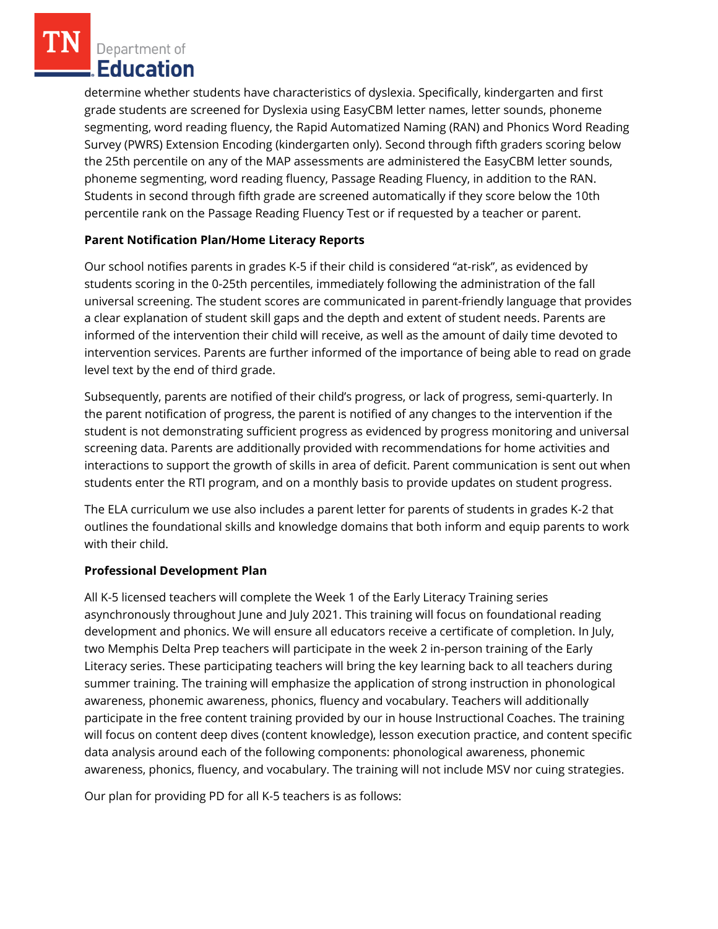Department of Education

determine whether students have characteristics of dyslexia. Specifically, kindergarten and first grade students are screened for Dyslexia using EasyCBM letter names, letter sounds, phoneme segmenting, word reading fluency, the Rapid Automatized Naming (RAN) and Phonics Word Reading Survey (PWRS) Extension Encoding (kindergarten only). Second through fifth graders scoring below the 25th percentile on any of the MAP assessments are administered the EasyCBM letter sounds, phoneme segmenting, word reading fluency, Passage Reading Fluency, in addition to the RAN. Students in second through fifth grade are screened automatically if they score below the 10th percentile rank on the Passage Reading Fluency Test or if requested by a teacher or parent.

# **Parent Notification Plan/Home Literacy Reports**

Our school notifies parents in grades K-5 if their child is considered "at-risk", as evidenced by students scoring in the 0-25th percentiles, immediately following the administration of the fall universal screening. The student scores are communicated in parent-friendly language that provides a clear explanation of student skill gaps and the depth and extent of student needs. Parents are informed of the intervention their child will receive, as well as the amount of daily time devoted to intervention services. Parents are further informed of the importance of being able to read on grade level text by the end of third grade.

Subsequently, parents are notified of their child's progress, or lack of progress, semi-quarterly. In the parent notification of progress, the parent is notified of any changes to the intervention if the student is not demonstrating sufficient progress as evidenced by progress monitoring and universal screening data. Parents are additionally provided with recommendations for home activities and interactions to support the growth of skills in area of deficit. Parent communication is sent out when students enter the RTI program, and on a monthly basis to provide updates on student progress.

The ELA curriculum we use also includes a parent letter for parents of students in grades K-2 that outlines the foundational skills and knowledge domains that both inform and equip parents to work with their child.

# **Professional Development Plan**

All K-5 licensed teachers will complete the Week 1 of the Early Literacy Training series asynchronously throughout June and July 2021. This training will focus on foundational reading development and phonics. We will ensure all educators receive a certificate of completion. In July, two Memphis Delta Prep teachers will participate in the week 2 in-person training of the Early Literacy series. These participating teachers will bring the key learning back to all teachers during summer training. The training will emphasize the application of strong instruction in phonological awareness, phonemic awareness, phonics, fluency and vocabulary. Teachers will additionally participate in the free content training provided by our in house Instructional Coaches. The training will focus on content deep dives (content knowledge), lesson execution practice, and content specific data analysis around each of the following components: phonological awareness, phonemic awareness, phonics, fluency, and vocabulary. The training will not include MSV nor cuing strategies.

Our plan for providing PD for all K-5 teachers is as follows: